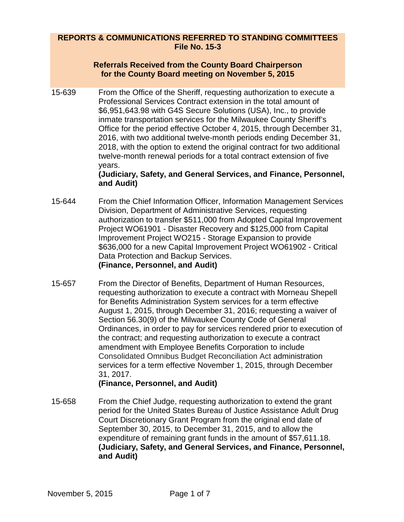## **REPORTS & COMMUNICATIONS REFERRED TO STANDING COMMITTEES File No. 15-3**

#### **Referrals Received from the County Board Chairperson for the County Board meeting on November 5, 2015**

15-639 From the Office of the Sheriff, requesting authorization to execute a Professional Services Contract extension in the total amount of \$6,951,643.98 with G4S Secure Solutions (USA), Inc., to provide inmate transportation services for the Milwaukee County Sheriff's Office for the period effective October 4, 2015, through December 31, 2016, with two additional twelve-month periods ending December 31, 2018, with the option to extend the original contract for two additional twelve-month renewal periods for a total contract extension of five years.

#### **(Judiciary, Safety, and General Services, and Finance, Personnel, and Audit)**

- 15-644 From the Chief Information Officer, Information Management Services Division, Department of Administrative Services, requesting authorization to transfer \$511,000 from Adopted Capital Improvement Project WO61901 - Disaster Recovery and \$125,000 from Capital Improvement Project WO215 - Storage Expansion to provide \$636,000 for a new Capital Improvement Project WO61902 - Critical Data Protection and Backup Services. **(Finance, Personnel, and Audit)**
- 15-657 From the Director of Benefits, Department of Human Resources, requesting authorization to execute a contract with Morneau Shepell for Benefits Administration System services for a term effective August 1, 2015, through December 31, 2016; requesting a waiver of Section 56.30(9) of the Milwaukee County Code of General Ordinances, in order to pay for services rendered prior to execution of the contract; and requesting authorization to execute a contract amendment with Employee Benefits Corporation to include Consolidated Omnibus Budget Reconciliation Act administration services for a term effective November 1, 2015, through December 31, 2017.

# **(Finance, Personnel, and Audit)**

15-658 From the Chief Judge, requesting authorization to extend the grant period for the United States Bureau of Justice Assistance Adult Drug Court Discretionary Grant Program from the original end date of September 30, 2015, to December 31, 2015, and to allow the expenditure of remaining grant funds in the amount of \$57,611.18. **(Judiciary, Safety, and General Services, and Finance, Personnel, and Audit)**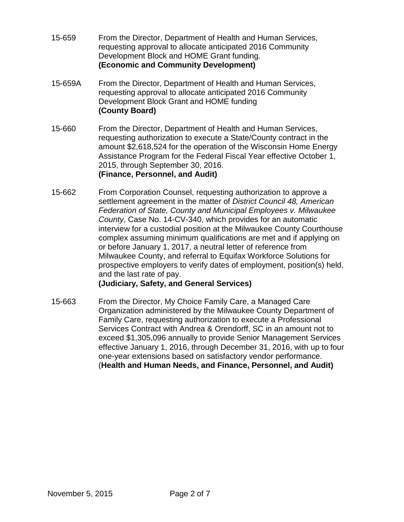- 15-659 From the Director, Department of Health and Human Services, requesting approval to allocate anticipated 2016 Community Development Block and HOME Grant funding. **(Economic and Community Development)**
- 15-659A From the Director, Department of Health and Human Services, requesting approval to allocate anticipated 2016 Community Development Block Grant and HOME funding **(County Board)**
- 15-660 From the Director, Department of Health and Human Services, requesting authorization to execute a State/County contract in the amount \$2,618,524 for the operation of the Wisconsin Home Energy Assistance Program for the Federal Fiscal Year effective October 1, 2015, through September 30, 2016. **(Finance, Personnel, and Audit)**
- 15-662 From Corporation Counsel, requesting authorization to approve a settlement agreement in the matter of *District Council 48, American Federation of State, County and Municipal Employees v. Milwaukee County*, Case No. 14-CV-340, which provides for an automatic interview for a custodial position at the Milwaukee County Courthouse complex assuming minimum qualifications are met and if applying on or before January 1, 2017, a neutral letter of reference from Milwaukee County, and referral to Equifax Workforce Solutions for prospective employers to verify dates of employment, position(s) held, and the last rate of pay.

## **(Judiciary, Safety, and General Services)**

15-663 From the Director, My Choice Family Care, a Managed Care Organization administered by the Milwaukee County Department of Family Care, requesting authorization to execute a Professional Services Contract with Andrea & Orendorff, SC in an amount not to exceed \$1,305,096 annually to provide Senior Management Services effective January 1, 2016, through December 31, 2016, with up to four one-year extensions based on satisfactory vendor performance. (**Health and Human Needs, and Finance, Personnel, and Audit)**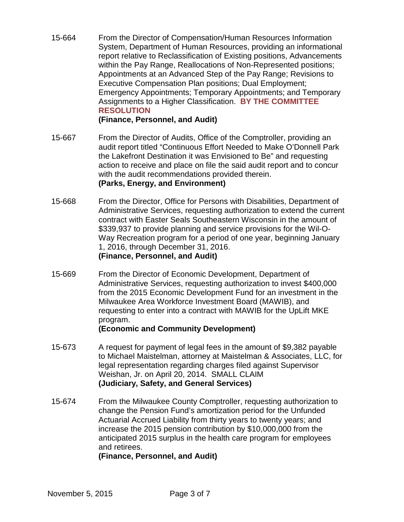15-664 From the Director of Compensation/Human Resources Information System, Department of Human Resources, providing an informational report relative to Reclassification of Existing positions, Advancements within the Pay Range, Reallocations of Non-Represented positions; Appointments at an Advanced Step of the Pay Range; Revisions to Executive Compensation Plan positions; Dual Employment; Emergency Appointments; Temporary Appointments; and Temporary Assignments to a Higher Classification. **BY THE COMMITTEE RESOLUTION**

## **(Finance, Personnel, and Audit)**

- 15-667 From the Director of Audits, Office of the Comptroller, providing an audit report titled "Continuous Effort Needed to Make O'Donnell Park the Lakefront Destination it was Envisioned to Be" and requesting action to receive and place on file the said audit report and to concur with the audit recommendations provided therein. **(Parks, Energy, and Environment)**
- 15-668 From the Director, Office for Persons with Disabilities, Department of Administrative Services, requesting authorization to extend the current contract with Easter Seals Southeastern Wisconsin in the amount of \$339,937 to provide planning and service provisions for the Wil-O-Way Recreation program for a period of one year, beginning January 1, 2016, through December 31, 2016. **(Finance, Personnel, and Audit)**
- 15-669 From the Director of Economic Development, Department of Administrative Services, requesting authorization to invest \$400,000 from the 2015 Economic Development Fund for an investment in the Milwaukee Area Workforce Investment Board (MAWIB), and requesting to enter into a contract with MAWIB for the UpLift MKE program.

## **(Economic and Community Development)**

- 15-673 A request for payment of legal fees in the amount of \$9,382 payable to Michael Maistelman, attorney at Maistelman & Associates, LLC, for legal representation regarding charges filed against Supervisor Weishan, Jr. on April 20, 2014. SMALL CLAIM **(Judiciary, Safety, and General Services)**
- 15-674 From the Milwaukee County Comptroller, requesting authorization to change the Pension Fund's amortization period for the Unfunded Actuarial Accrued Liability from thirty years to twenty years; and increase the 2015 pension contribution by \$10,000,000 from the anticipated 2015 surplus in the health care program for employees and retirees.

**(Finance, Personnel, and Audit)**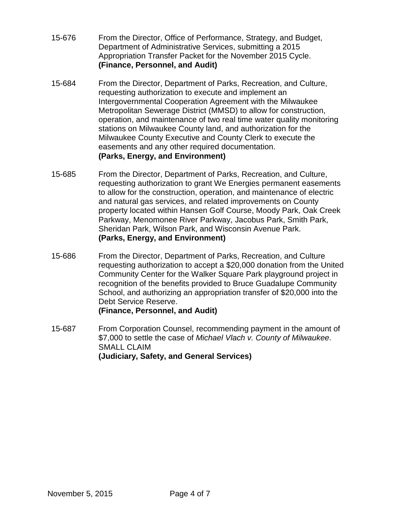- 15-676 From the Director, Office of Performance, Strategy, and Budget, Department of Administrative Services, submitting a 2015 Appropriation Transfer Packet for the November 2015 Cycle. **(Finance, Personnel, and Audit)**
- 15-684 From the Director, Department of Parks, Recreation, and Culture, requesting authorization to execute and implement an Intergovernmental Cooperation Agreement with the Milwaukee Metropolitan Sewerage District (MMSD) to allow for construction, operation, and maintenance of two real time water quality monitoring stations on Milwaukee County land, and authorization for the Milwaukee County Executive and County Clerk to execute the easements and any other required documentation. **(Parks, Energy, and Environment)**
- 15-685 From the Director, Department of Parks, Recreation, and Culture, requesting authorization to grant We Energies permanent easements to allow for the construction, operation, and maintenance of electric and natural gas services, and related improvements on County property located within Hansen Golf Course, Moody Park, Oak Creek Parkway, Menomonee River Parkway, Jacobus Park, Smith Park, Sheridan Park, Wilson Park, and Wisconsin Avenue Park. **(Parks, Energy, and Environment)**
- 15-686 From the Director, Department of Parks, Recreation, and Culture requesting authorization to accept a \$20,000 donation from the United Community Center for the Walker Square Park playground project in recognition of the benefits provided to Bruce Guadalupe Community School, and authorizing an appropriation transfer of \$20,000 into the Debt Service Reserve. **(Finance, Personnel, and Audit)**
- 15-687 From Corporation Counsel, recommending payment in the amount of \$7,000 to settle the case of *Michael Vlach v. County of Milwaukee*. SMALL CLAIM **(Judiciary, Safety, and General Services)**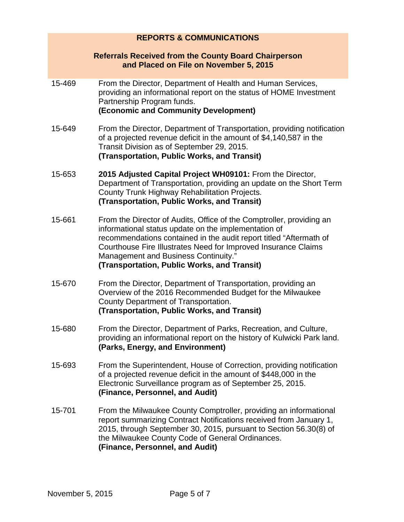| <b>REPORTS &amp; COMMUNICATIONS</b> |                                                                                                                                                                                                                                                                                                                                                             |
|-------------------------------------|-------------------------------------------------------------------------------------------------------------------------------------------------------------------------------------------------------------------------------------------------------------------------------------------------------------------------------------------------------------|
|                                     | <b>Referrals Received from the County Board Chairperson</b><br>and Placed on File on November 5, 2015                                                                                                                                                                                                                                                       |
| 15-469                              | From the Director, Department of Health and Human Services,<br>providing an informational report on the status of HOME Investment<br>Partnership Program funds.<br>(Economic and Community Development)                                                                                                                                                     |
| 15-649                              | From the Director, Department of Transportation, providing notification<br>of a projected revenue deficit in the amount of \$4,140,587 in the<br>Transit Division as of September 29, 2015.<br>(Transportation, Public Works, and Transit)                                                                                                                  |
| 15-653                              | 2015 Adjusted Capital Project WH09101: From the Director,<br>Department of Transportation, providing an update on the Short Term<br>County Trunk Highway Rehabilitation Projects.<br>(Transportation, Public Works, and Transit)                                                                                                                            |
| 15-661                              | From the Director of Audits, Office of the Comptroller, providing an<br>informational status update on the implementation of<br>recommendations contained in the audit report titled "Aftermath of<br>Courthouse Fire Illustrates Need for Improved Insurance Claims<br>Management and Business Continuity."<br>(Transportation, Public Works, and Transit) |
| 15-670                              | From the Director, Department of Transportation, providing an<br>Overview of the 2016 Recommended Budget for the Milwaukee<br>County Department of Transportation.<br>(Transportation, Public Works, and Transit)                                                                                                                                           |
| 15-680                              | From the Director, Department of Parks, Recreation, and Culture,<br>providing an informational report on the history of Kulwicki Park land.<br>(Parks, Energy, and Environment)                                                                                                                                                                             |
| 15-693                              | From the Superintendent, House of Correction, providing notification<br>of a projected revenue deficit in the amount of \$448,000 in the<br>Electronic Surveillance program as of September 25, 2015.<br>(Finance, Personnel, and Audit)                                                                                                                    |
| 15-701                              | From the Milwaukee County Comptroller, providing an informational<br>report summarizing Contract Notifications received from January 1,<br>2015, through September 30, 2015, pursuant to Section 56.30(8) of<br>the Milwaukee County Code of General Ordinances.<br>(Finance, Personnel, and Audit)                                                         |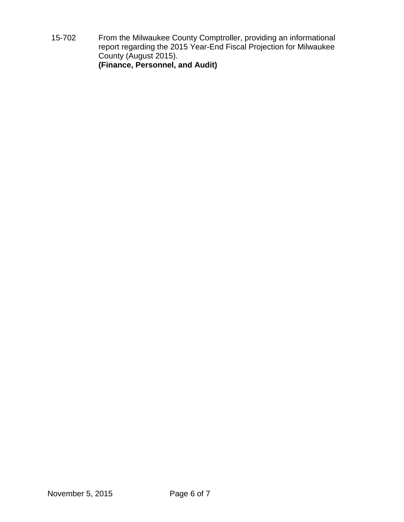15-702 From the Milwaukee County Comptroller, providing an informational report regarding the 2015 Year-End Fiscal Projection for Milwaukee County (August 2015). **(Finance, Personnel, and Audit)**